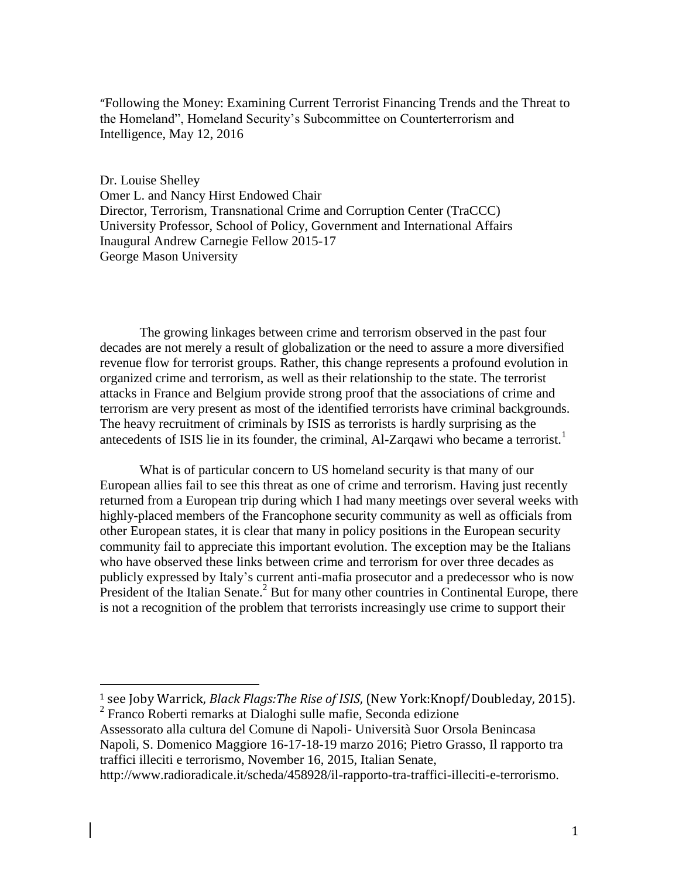"Following the Money: Examining Current Terrorist Financing Trends and the Threat to the Homeland", Homeland Security's Subcommittee on Counterterrorism and Intelligence, May 12, 2016

Dr. Louise Shelley Omer L. and Nancy Hirst Endowed Chair Director, Terrorism, Transnational Crime and Corruption Center (TraCCC) University Professor, School of Policy, Government and International Affairs Inaugural Andrew Carnegie Fellow 2015-17 George Mason University

The growing linkages between crime and terrorism observed in the past four decades are not merely a result of globalization or the need to assure a more diversified revenue flow for terrorist groups. Rather, this change represents a profound evolution in organized crime and terrorism, as well as their relationship to the state. The terrorist attacks in France and Belgium provide strong proof that the associations of crime and terrorism are very present as most of the identified terrorists have criminal backgrounds. The heavy recruitment of criminals by ISIS as terrorists is hardly surprising as the antecedents of ISIS lie in its founder, the criminal, Al-Zarqawi who became a terrorist.<sup>1</sup>

What is of particular concern to US homeland security is that many of our European allies fail to see this threat as one of crime and terrorism. Having just recently returned from a European trip during which I had many meetings over several weeks with highly-placed members of the Francophone security community as well as officials from other European states, it is clear that many in policy positions in the European security community fail to appreciate this important evolution. The exception may be the Italians who have observed these links between crime and terrorism for over three decades as publicly expressed by Italy's current anti-mafia prosecutor and a predecessor who is now President of the Italian Senate.<sup>2</sup> But for many other countries in Continental Europe, there is not a recognition of the problem that terrorists increasingly use crime to support their

<sup>1</sup> see Joby Warrick, *Black Flags:The Rise of ISIS*, (New York:Knopf/Doubleday, 2015). 2 Franco Roberti remarks at Dialoghi sulle mafie, Seconda edizione

 $\overline{a}$ 

Assessorato alla cultura del Comune di Napoli- Università Suor Orsola Benincasa Napoli, S. Domenico Maggiore 16-17-18-19 marzo 2016; Pietro Grasso, Il rapporto tra traffici illeciti e terrorismo, November 16, 2015, Italian Senate, http://www.radioradicale.it/scheda/458928/il-rapporto-tra-traffici-illeciti-e-terrorismo.

1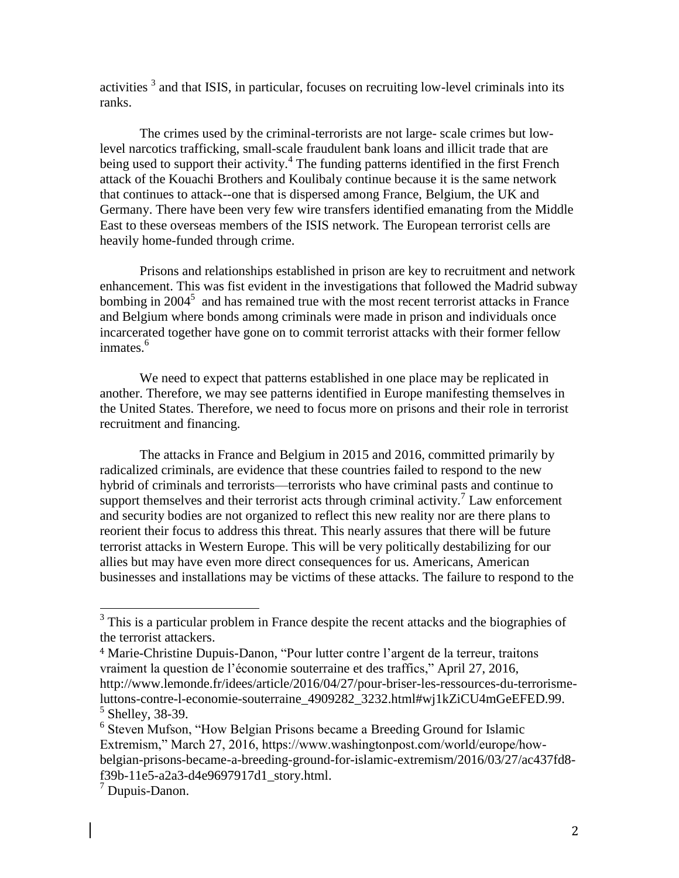activities  $<sup>3</sup>$  and that ISIS, in particular, focuses on recruiting low-level criminals into its</sup> ranks.

The crimes used by the criminal-terrorists are not large- scale crimes but lowlevel narcotics trafficking, small-scale fraudulent bank loans and illicit trade that are being used to support their activity.<sup>4</sup> The funding patterns identified in the first French attack of the Kouachi Brothers and Koulibaly continue because it is the same network that continues to attack--one that is dispersed among France, Belgium, the UK and Germany. There have been very few wire transfers identified emanating from the Middle East to these overseas members of the ISIS network. The European terrorist cells are heavily home-funded through crime.

Prisons and relationships established in prison are key to recruitment and network enhancement. This was fist evident in the investigations that followed the Madrid subway bombing in  $2004<sup>5</sup>$  and has remained true with the most recent terrorist attacks in France and Belgium where bonds among criminals were made in prison and individuals once incarcerated together have gone on to commit terrorist attacks with their former fellow inmates.<sup>6</sup>

We need to expect that patterns established in one place may be replicated in another. Therefore, we may see patterns identified in Europe manifesting themselves in the United States. Therefore, we need to focus more on prisons and their role in terrorist recruitment and financing.

The attacks in France and Belgium in 2015 and 2016, committed primarily by radicalized criminals, are evidence that these countries failed to respond to the new hybrid of criminals and terrorists—terrorists who have criminal pasts and continue to support themselves and their terrorist acts through criminal activity.<sup>7</sup> Law enforcement and security bodies are not organized to reflect this new reality nor are there plans to reorient their focus to address this threat. This nearly assures that there will be future terrorist attacks in Western Europe. This will be very politically destabilizing for our allies but may have even more direct consequences for us. Americans, American businesses and installations may be victims of these attacks. The failure to respond to the

l

 $3$  This is a particular problem in France despite the recent attacks and the biographies of the terrorist attackers.

<sup>4</sup> Marie-Christine Dupuis-Danon, "Pour lutter contre l'argent de la terreur, traitons vraiment la question de l'économie souterraine et des traffics," April 27, 2016, http://www.lemonde.fr/idees/article/2016/04/27/pour-briser-les-ressources-du-terrorismeluttons-contre-l-economie-souterraine\_4909282\_3232.html#wj1kZiCU4mGeEFED.99. <sup>5</sup> Shelley, 38-39.

<sup>&</sup>lt;sup>6</sup> Steven Mufson, "How Belgian Prisons became a Breeding Ground for Islamic Extremism," March 27, 2016, https://www.washingtonpost.com/world/europe/howbelgian-prisons-became-a-breeding-ground-for-islamic-extremism/2016/03/27/ac437fd8 f39b-11e5-a2a3-d4e9697917d1\_story.html.

<sup>7</sup> Dupuis-Danon.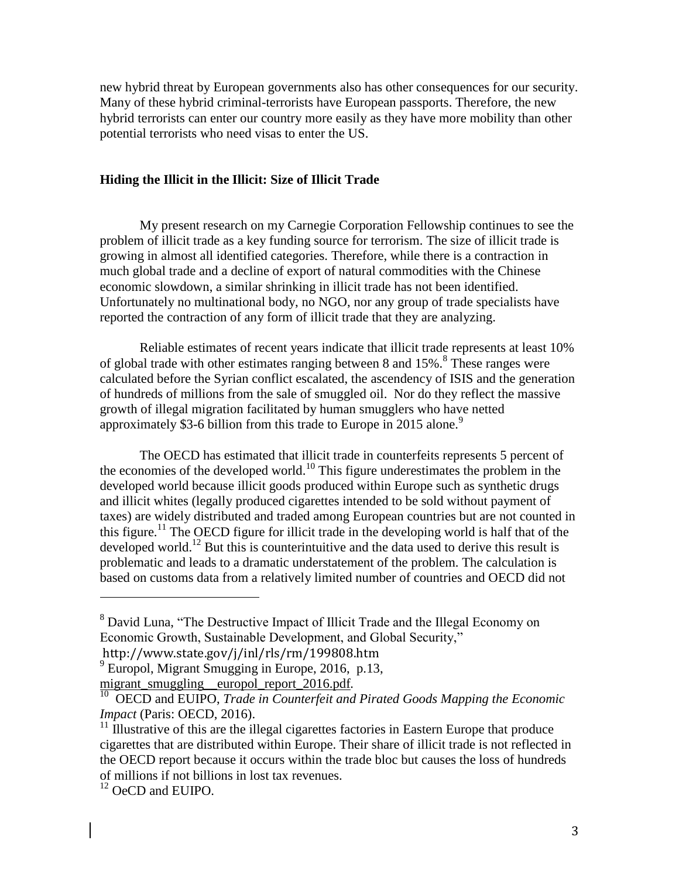new hybrid threat by European governments also has other consequences for our security. Many of these hybrid criminal-terrorists have European passports. Therefore, the new hybrid terrorists can enter our country more easily as they have more mobility than other potential terrorists who need visas to enter the US.

# **Hiding the Illicit in the Illicit: Size of Illicit Trade**

My present research on my Carnegie Corporation Fellowship continues to see the problem of illicit trade as a key funding source for terrorism. The size of illicit trade is growing in almost all identified categories. Therefore, while there is a contraction in much global trade and a decline of export of natural commodities with the Chinese economic slowdown, a similar shrinking in illicit trade has not been identified. Unfortunately no multinational body, no NGO, nor any group of trade specialists have reported the contraction of any form of illicit trade that they are analyzing.

Reliable estimates of recent years indicate that illicit trade represents at least 10% of global trade with other estimates ranging between 8 and  $15\%$ .<sup>8</sup> These ranges were calculated before the Syrian conflict escalated, the ascendency of ISIS and the generation of hundreds of millions from the sale of smuggled oil. Nor do they reflect the massive growth of illegal migration facilitated by human smugglers who have netted approximately \$3-6 billion from this trade to Europe in 2015 alone.<sup>9</sup>

The OECD has estimated that illicit trade in counterfeits represents 5 percent of the economies of the developed world.<sup>10</sup> This figure underestimates the problem in the developed world because illicit goods produced within Europe such as synthetic drugs and illicit whites (legally produced cigarettes intended to be sold without payment of taxes) are widely distributed and traded among European countries but are not counted in this figure.<sup>11</sup> The OECD figure for illicit trade in the developing world is half that of the developed world.<sup>12</sup> But this is counterintuitive and the data used to derive this result is problematic and leads to a dramatic understatement of the problem. The calculation is based on customs data from a relatively limited number of countries and OECD did not

 $\overline{a}$ 

<sup>&</sup>lt;sup>8</sup> David Luna, "The Destructive Impact of Illicit Trade and the Illegal Economy on Economic Growth, Sustainable Development, and Global Security,"

http://www.state.gov/j/inl/rls/rm/199808.htm

 $^{9}$  Europol, Migrant Smugging in Europe, 2016, p.13, migrant smuggling europol report 2016.pdf.

<sup>&</sup>lt;sup>10</sup> OECD and EUIPO, *Trade in Counterfeit and Pirated Goods Mapping the Economic Impact* (Paris: OECD, 2016).

 $11$  Illustrative of this are the illegal cigarettes factories in Eastern Europe that produce cigarettes that are distributed within Europe. Their share of illicit trade is not reflected in the OECD report because it occurs within the trade bloc but causes the loss of hundreds of millions if not billions in lost tax revenues.

<sup>&</sup>lt;sup>12</sup> OeCD and EUIPO.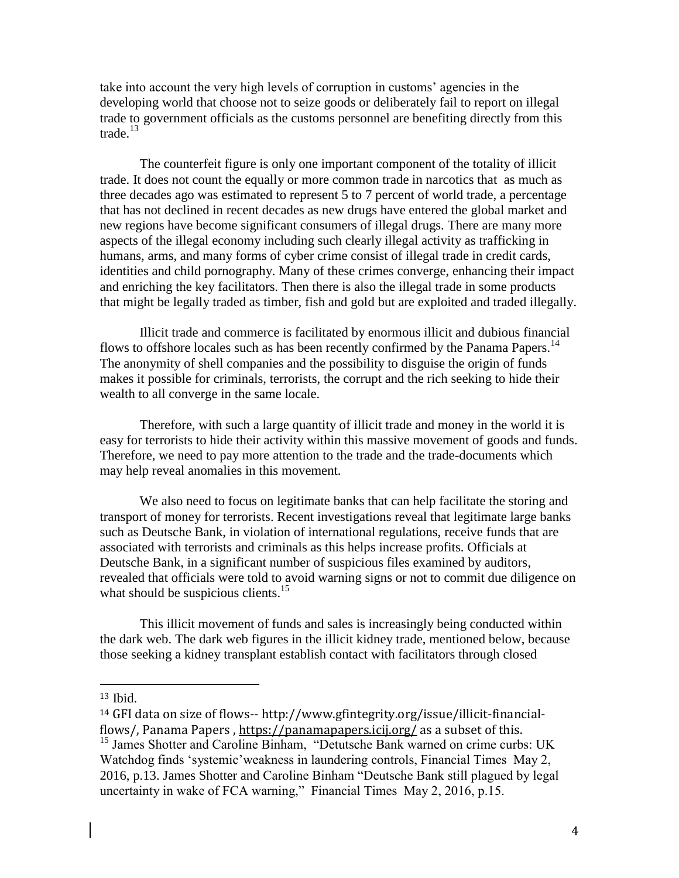take into account the very high levels of corruption in customs' agencies in the developing world that choose not to seize goods or deliberately fail to report on illegal trade to government officials as the customs personnel are benefiting directly from this trade. $13$ 

The counterfeit figure is only one important component of the totality of illicit trade. It does not count the equally or more common trade in narcotics that as much as three decades ago was estimated to represent 5 to 7 percent of world trade, a percentage that has not declined in recent decades as new drugs have entered the global market and new regions have become significant consumers of illegal drugs. There are many more aspects of the illegal economy including such clearly illegal activity as trafficking in humans, arms, and many forms of cyber crime consist of illegal trade in credit cards, identities and child pornography. Many of these crimes converge, enhancing their impact and enriching the key facilitators. Then there is also the illegal trade in some products that might be legally traded as timber, fish and gold but are exploited and traded illegally.

Illicit trade and commerce is facilitated by enormous illicit and dubious financial flows to offshore locales such as has been recently confirmed by the Panama Papers.<sup>14</sup> The anonymity of shell companies and the possibility to disguise the origin of funds makes it possible for criminals, terrorists, the corrupt and the rich seeking to hide their wealth to all converge in the same locale.

Therefore, with such a large quantity of illicit trade and money in the world it is easy for terrorists to hide their activity within this massive movement of goods and funds. Therefore, we need to pay more attention to the trade and the trade-documents which may help reveal anomalies in this movement.

We also need to focus on legitimate banks that can help facilitate the storing and transport of money for terrorists. Recent investigations reveal that legitimate large banks such as Deutsche Bank, in violation of international regulations, receive funds that are associated with terrorists and criminals as this helps increase profits. Officials at Deutsche Bank, in a significant number of suspicious files examined by auditors, revealed that officials were told to avoid warning signs or not to commit due diligence on what should be suspicious clients.<sup>15</sup>

This illicit movement of funds and sales is increasingly being conducted within the dark web. The dark web figures in the illicit kidney trade, mentioned below, because those seeking a kidney transplant establish contact with facilitators through closed

<sup>13</sup> Ibid.

 $\overline{a}$ 

<sup>14</sup> GFI data on size of flows-- http://www.gfintegrity.org/issue/illicit-financialflows/, Panama Papers , <https://panamapapers.icij.org/> as a subset of this. <sup>15</sup> James Shotter and Caroline Binham, "Detutsche Bank warned on crime curbs: UK Watchdog finds 'systemic'weakness in laundering controls, Financial Times May 2, 2016, p.13. James Shotter and Caroline Binham "Deutsche Bank still plagued by legal uncertainty in wake of FCA warning," Financial Times May 2, 2016, p.15.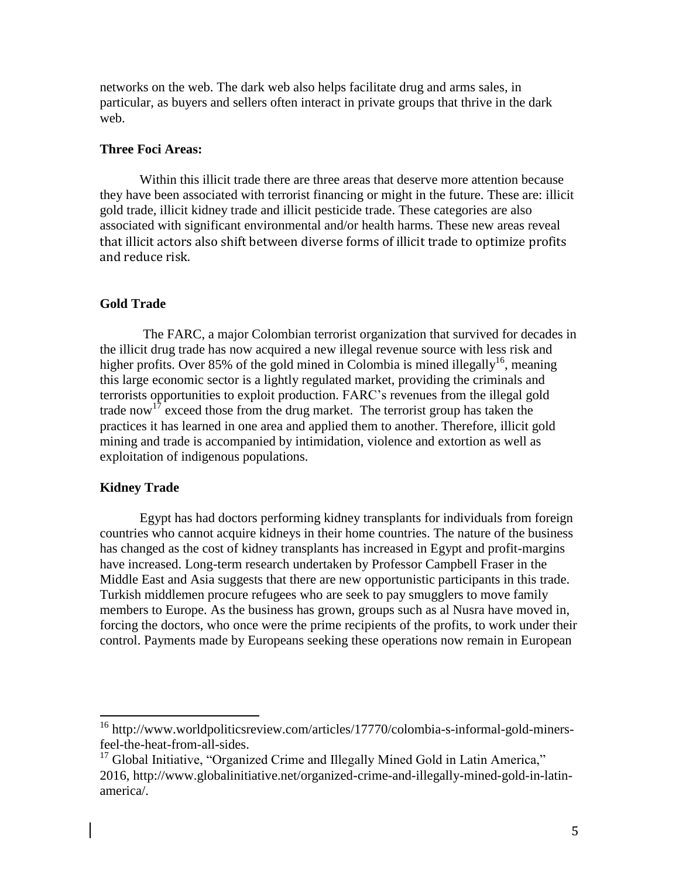networks on the web. The dark web also helps facilitate drug and arms sales, in particular, as buyers and sellers often interact in private groups that thrive in the dark web.

## **Three Foci Areas:**

Within this illicit trade there are three areas that deserve more attention because they have been associated with terrorist financing or might in the future. These are: illicit gold trade, illicit kidney trade and illicit pesticide trade. These categories are also associated with significant environmental and/or health harms. These new areas reveal that illicit actors also shift between diverse forms of illicit trade to optimize profits and reduce risk.

## **Gold Trade**

The FARC, a major Colombian terrorist organization that survived for decades in the illicit drug trade has now acquired a new illegal revenue source with less risk and higher profits. Over 85% of the gold mined in Colombia is mined illegally<sup>16</sup>, meaning this large economic sector is a lightly regulated market, providing the criminals and terrorists opportunities to exploit production. FARC's revenues from the illegal gold trade now<sup>17</sup> exceed those from the drug market. The terrorist group has taken the practices it has learned in one area and applied them to another. Therefore, illicit gold mining and trade is accompanied by intimidation, violence and extortion as well as exploitation of indigenous populations.

#### **Kidney Trade**

 $\overline{a}$ 

Egypt has had doctors performing kidney transplants for individuals from foreign countries who cannot acquire kidneys in their home countries. The nature of the business has changed as the cost of kidney transplants has increased in Egypt and profit-margins have increased. Long-term research undertaken by Professor Campbell Fraser in the Middle East and Asia suggests that there are new opportunistic participants in this trade. Turkish middlemen procure refugees who are seek to pay smugglers to move family members to Europe. As the business has grown, groups such as al Nusra have moved in, forcing the doctors, who once were the prime recipients of the profits, to work under their control. Payments made by Europeans seeking these operations now remain in European

<sup>&</sup>lt;sup>16</sup> http://www.worldpoliticsreview.com/articles/17770/colombia-s-informal-gold-minersfeel-the-heat-from-all-sides.

 $17$  Global Initiative, "Organized Crime and Illegally Mined Gold in Latin America," 2016, http://www.globalinitiative.net/organized-crime-and-illegally-mined-gold-in-latinamerica/.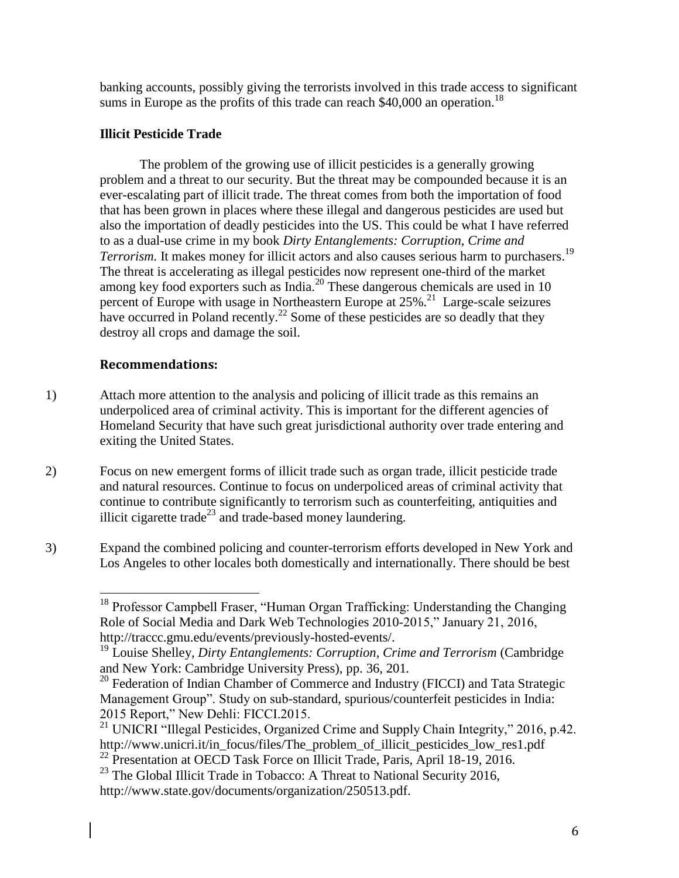banking accounts, possibly giving the terrorists involved in this trade access to significant sums in Europe as the profits of this trade can reach \$40,000 an operation.<sup>18</sup>

# **Illicit Pesticide Trade**

The problem of the growing use of illicit pesticides is a generally growing problem and a threat to our security. But the threat may be compounded because it is an ever-escalating part of illicit trade. The threat comes from both the importation of food that has been grown in places where these illegal and dangerous pesticides are used but also the importation of deadly pesticides into the US. This could be what I have referred to as a dual-use crime in my book *Dirty Entanglements: Corruption, Crime and Terrorism.* It makes money for illicit actors and also causes serious harm to purchasers. 19 The threat is accelerating as illegal pesticides now represent one-third of the market among key food exporters such as India.<sup>20</sup> These dangerous chemicals are used in 10 percent of Europe with usage in Northeastern Europe at 25%.<sup>21</sup> Large-scale seizures have occurred in Poland recently.<sup>22</sup> Some of these pesticides are so deadly that they destroy all crops and damage the soil.

# **Recommendations:**

- 1) Attach more attention to the analysis and policing of illicit trade as this remains an underpoliced area of criminal activity. This is important for the different agencies of Homeland Security that have such great jurisdictional authority over trade entering and exiting the United States.
- 2) Focus on new emergent forms of illicit trade such as organ trade, illicit pesticide trade and natural resources. Continue to focus on underpoliced areas of criminal activity that continue to contribute significantly to terrorism such as counterfeiting, antiquities and illicit cigarette trade<sup>23</sup> and trade-based money laundering.
- 3) Expand the combined policing and counter-terrorism efforts developed in New York and Los Angeles to other locales both domestically and internationally. There should be best

l <sup>18</sup> Professor Campbell Fraser, "Human Organ Trafficking: Understanding the Changing Role of Social Media and Dark Web Technologies 2010-2015," January 21, 2016, http://traccc.gmu.edu/events/previously-hosted-events/.

<sup>&</sup>lt;sup>19</sup> Louise Shelley, *Dirty Entanglements: Corruption, Crime and Terrorism* (Cambridge and New York: Cambridge University Press), pp. 36, 201*.*

<sup>&</sup>lt;sup>20</sup> Federation of Indian Chamber of Commerce and Industry (FICCI) and Tata Strategic Management Group". Study on sub-standard, spurious/counterfeit pesticides in India: 2015 Report," New Dehli: FICCI.2015.

<sup>&</sup>lt;sup>21</sup> UNICRI "Illegal Pesticides, Organized Crime and Supply Chain Integrity," 2016, p.42. http://www.unicri.it/in\_focus/files/The\_problem\_of\_illicit\_pesticides\_low\_res1.pdf <sup>22</sup> Presentation at OECD Task Force on Illicit Trade, Paris, April 18-19, 2016.

<sup>&</sup>lt;sup>23</sup> The Global Illicit Trade in Tobacco: A Threat to National Security 2016, http://www.state.gov/documents/organization/250513.pdf.